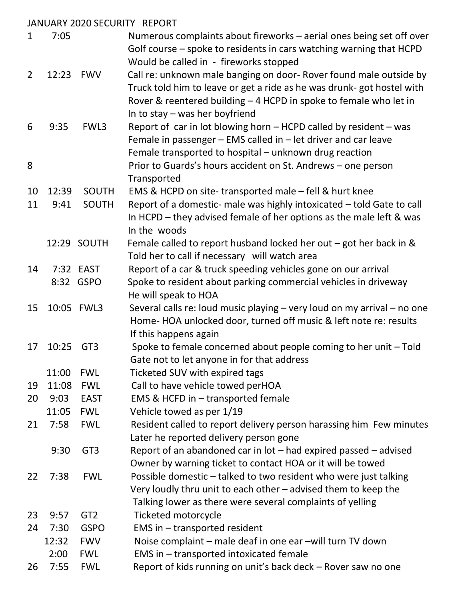|              |       |                 | JANUARY 2020 SECURITY REPORT                                                                                                                                                                                                                          |
|--------------|-------|-----------------|-------------------------------------------------------------------------------------------------------------------------------------------------------------------------------------------------------------------------------------------------------|
| $\mathbf{1}$ | 7:05  |                 | Numerous complaints about fireworks – aerial ones being set off over<br>Golf course – spoke to residents in cars watching warning that HCPD<br>Would be called in - fireworks stopped                                                                 |
| 2            | 12:23 | <b>FWV</b>      | Call re: unknown male banging on door- Rover found male outside by<br>Truck told him to leave or get a ride as he was drunk- got hostel with<br>Rover & reentered building - 4 HCPD in spoke to female who let in<br>In to stay $-$ was her boyfriend |
| 6            | 9:35  | FWL3            | Report of car in lot blowing horn - HCPD called by resident - was<br>Female in passenger - EMS called in - let driver and car leave<br>Female transported to hospital - unknown drug reaction                                                         |
| 8            |       |                 | Prior to Guards's hours accident on St. Andrews - one person<br>Transported                                                                                                                                                                           |
| 10           | 12:39 | <b>SOUTH</b>    | EMS & HCPD on site-transported male - fell & hurt knee                                                                                                                                                                                                |
| 11           | 9:41  | SOUTH           | Report of a domestic- male was highly intoxicated - told Gate to call<br>In HCPD – they advised female of her options as the male left & was<br>In the woods                                                                                          |
|              |       | 12:29 SOUTH     | Female called to report husband locked her out $-$ got her back in &<br>Told her to call if necessary will watch area                                                                                                                                 |
| 14           |       | 7:32 EAST       | Report of a car & truck speeding vehicles gone on our arrival                                                                                                                                                                                         |
|              |       | 8:32 GSPO       | Spoke to resident about parking commercial vehicles in driveway<br>He will speak to HOA                                                                                                                                                               |
| 15           |       | 10:05 FWL3      | Several calls re: loud music playing - very loud on my arrival - no one<br>Home-HOA unlocked door, turned off music & left note re: results<br>If this happens again                                                                                  |
| 17           | 10:25 | GT <sub>3</sub> | Spoke to female concerned about people coming to her unit - Told<br>Gate not to let anyone in for that address                                                                                                                                        |
|              | 11:00 | <b>FWL</b>      | Ticketed SUV with expired tags                                                                                                                                                                                                                        |
| 19           | 11:08 | <b>FWL</b>      | Call to have vehicle towed perHOA                                                                                                                                                                                                                     |
| 20           | 9:03  | <b>EAST</b>     | EMS & HCFD in - transported female                                                                                                                                                                                                                    |
|              | 11:05 | <b>FWL</b>      | Vehicle towed as per 1/19                                                                                                                                                                                                                             |
| 21           | 7:58  | <b>FWL</b>      | Resident called to report delivery person harassing him Few minutes<br>Later he reported delivery person gone                                                                                                                                         |
|              | 9:30  | GT <sub>3</sub> | Report of an abandoned car in lot – had expired passed – advised<br>Owner by warning ticket to contact HOA or it will be towed                                                                                                                        |
| 22           | 7:38  | <b>FWL</b>      | Possible domestic – talked to two resident who were just talking<br>Very loudly thru unit to each other $-$ advised them to keep the<br>Talking lower as there were several complaints of yelling                                                     |
| 23           | 9:57  | GT <sub>2</sub> | Ticketed motorcycle                                                                                                                                                                                                                                   |
| 24           | 7:30  | <b>GSPO</b>     | EMS in - transported resident                                                                                                                                                                                                                         |
|              | 12:32 | <b>FWV</b>      | Noise complaint – male deaf in one ear –will turn TV down                                                                                                                                                                                             |
|              | 2:00  | <b>FWL</b>      | EMS in - transported intoxicated female                                                                                                                                                                                                               |
| 26           | 7:55  | <b>FWL</b>      | Report of kids running on unit's back deck - Rover saw no one                                                                                                                                                                                         |